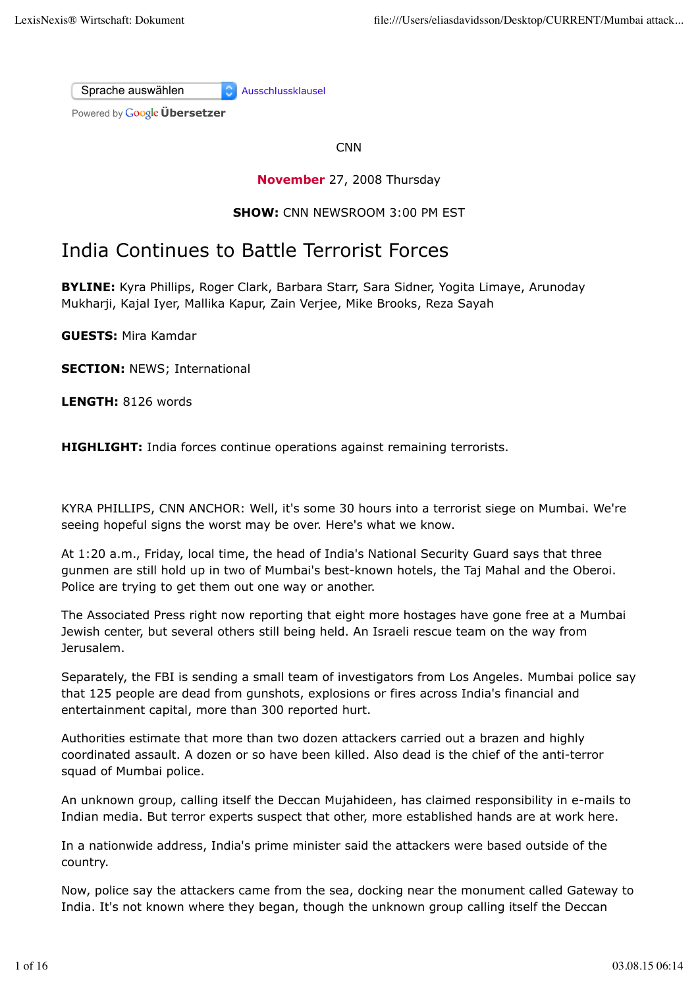Sprache auswählen Ausschlussklausel

Powered by **Google Übersetzer** 

**CNN** 

## **November** 27, 2008 Thursday

## **SHOW:** CNN NEWSROOM 3:00 PM EST

# India Continues to Battle Terrorist Forces

**BYLINE:** Kyra Phillips, Roger Clark, Barbara Starr, Sara Sidner, Yogita Limaye, Arunoday Mukharji, Kajal Iyer, Mallika Kapur, Zain Verjee, Mike Brooks, Reza Sayah

**GUESTS:** Mira Kamdar

**SECTION: NEWS: International** 

**LENGTH:** 8126 words

**HIGHLIGHT:** India forces continue operations against remaining terrorists.

KYRA PHILLIPS, CNN ANCHOR: Well, it's some 30 hours into a terrorist siege on Mumbai. We're seeing hopeful signs the worst may be over. Here's what we know.

At 1:20 a.m., Friday, local time, the head of India's National Security Guard says that three gunmen are still hold up in two of Mumbai's best-known hotels, the Taj Mahal and the Oberoi. Police are trying to get them out one way or another.

The Associated Press right now reporting that eight more hostages have gone free at a Mumbai Jewish center, but several others still being held. An Israeli rescue team on the way from Jerusalem.

Separately, the FBI is sending a small team of investigators from Los Angeles. Mumbai police say that 125 people are dead from gunshots, explosions or fires across India's financial and entertainment capital, more than 300 reported hurt.

Authorities estimate that more than two dozen attackers carried out a brazen and highly coordinated assault. A dozen or so have been killed. Also dead is the chief of the anti-terror squad of Mumbai police.

An unknown group, calling itself the Deccan Mujahideen, has claimed responsibility in e-mails to Indian media. But terror experts suspect that other, more established hands are at work here.

In a nationwide address, India's prime minister said the attackers were based outside of the country.

Now, police say the attackers came from the sea, docking near the monument called Gateway to India. It's not known where they began, though the unknown group calling itself the Deccan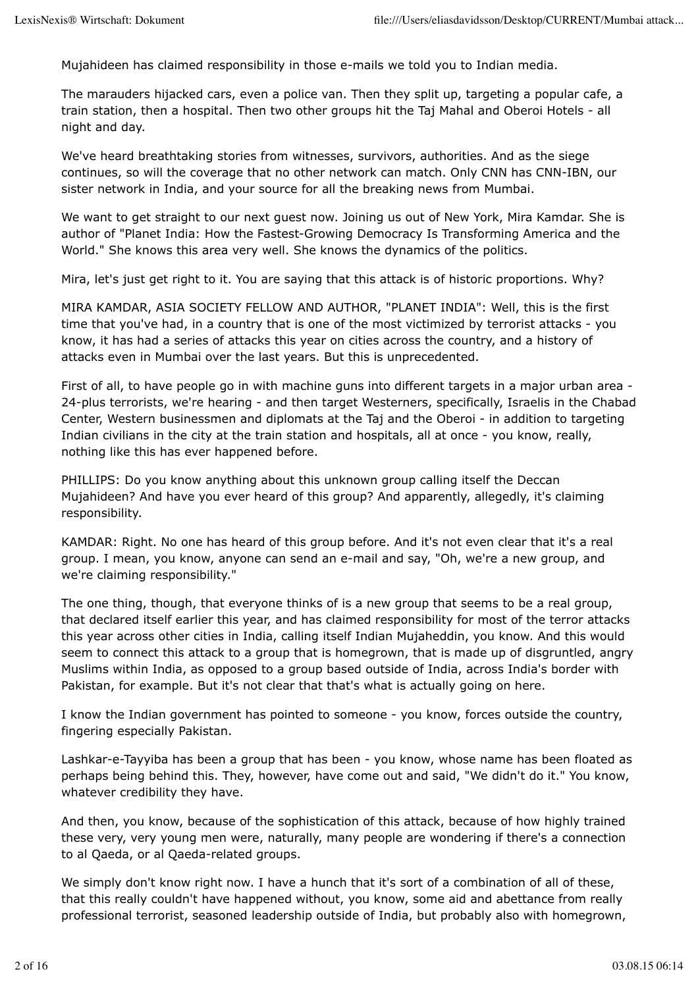Mujahideen has claimed responsibility in those e-mails we told you to Indian media.

The marauders hijacked cars, even a police van. Then they split up, targeting a popular cafe, a train station, then a hospital. Then two other groups hit the Taj Mahal and Oberoi Hotels - all night and day.

We've heard breathtaking stories from witnesses, survivors, authorities. And as the siege continues, so will the coverage that no other network can match. Only CNN has CNN-IBN, our sister network in India, and your source for all the breaking news from Mumbai.

We want to get straight to our next guest now. Joining us out of New York, Mira Kamdar. She is author of "Planet India: How the Fastest-Growing Democracy Is Transforming America and the World." She knows this area very well. She knows the dynamics of the politics.

Mira, let's just get right to it. You are saying that this attack is of historic proportions. Why?

MIRA KAMDAR, ASIA SOCIETY FELLOW AND AUTHOR, "PLANET INDIA": Well, this is the first time that you've had, in a country that is one of the most victimized by terrorist attacks - you know, it has had a series of attacks this year on cities across the country, and a history of attacks even in Mumbai over the last years. But this is unprecedented.

First of all, to have people go in with machine guns into different targets in a major urban area - 24-plus terrorists, we're hearing - and then target Westerners, specifically, Israelis in the Chabad Center, Western businessmen and diplomats at the Taj and the Oberoi - in addition to targeting Indian civilians in the city at the train station and hospitals, all at once - you know, really, nothing like this has ever happened before.

PHILLIPS: Do you know anything about this unknown group calling itself the Deccan Mujahideen? And have you ever heard of this group? And apparently, allegedly, it's claiming responsibility.

KAMDAR: Right. No one has heard of this group before. And it's not even clear that it's a real group. I mean, you know, anyone can send an e-mail and say, "Oh, we're a new group, and we're claiming responsibility."

The one thing, though, that everyone thinks of is a new group that seems to be a real group, that declared itself earlier this year, and has claimed responsibility for most of the terror attacks this year across other cities in India, calling itself Indian Mujaheddin, you know. And this would seem to connect this attack to a group that is homegrown, that is made up of disgruntled, angry Muslims within India, as opposed to a group based outside of India, across India's border with Pakistan, for example. But it's not clear that that's what is actually going on here.

I know the Indian government has pointed to someone - you know, forces outside the country, fingering especially Pakistan.

Lashkar-e-Tayyiba has been a group that has been - you know, whose name has been floated as perhaps being behind this. They, however, have come out and said, "We didn't do it." You know, whatever credibility they have.

And then, you know, because of the sophistication of this attack, because of how highly trained these very, very young men were, naturally, many people are wondering if there's a connection to al Qaeda, or al Qaeda-related groups.

We simply don't know right now. I have a hunch that it's sort of a combination of all of these, that this really couldn't have happened without, you know, some aid and abettance from really professional terrorist, seasoned leadership outside of India, but probably also with homegrown,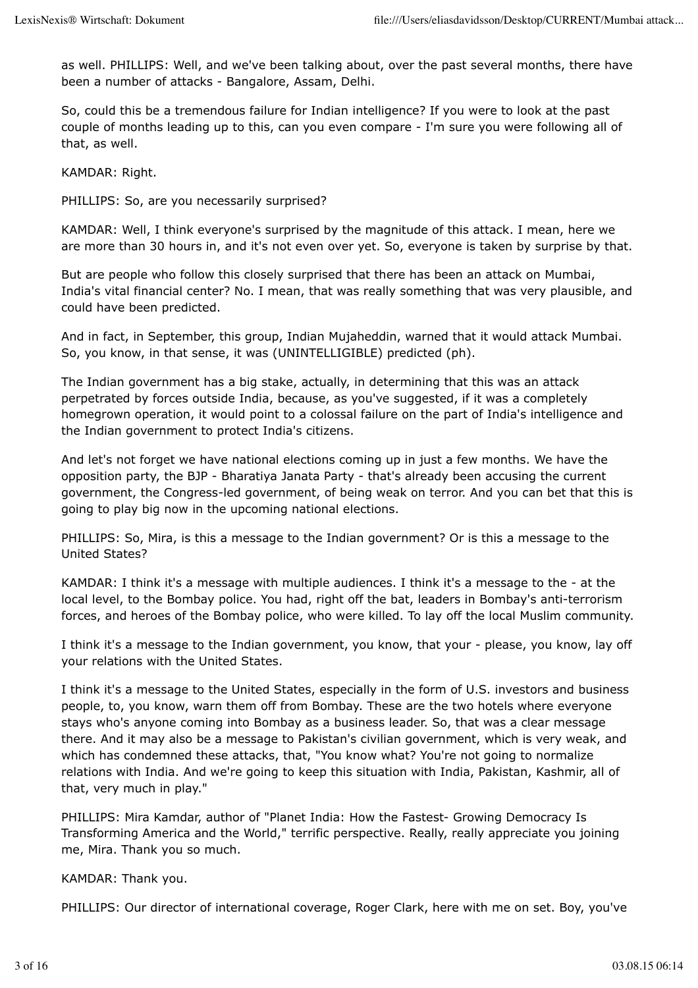as well. PHILLIPS: Well, and we've been talking about, over the past several months, there have been a number of attacks - Bangalore, Assam, Delhi.

So, could this be a tremendous failure for Indian intelligence? If you were to look at the past couple of months leading up to this, can you even compare - I'm sure you were following all of that, as well.

KAMDAR: Right.

PHILLIPS: So, are you necessarily surprised?

KAMDAR: Well, I think everyone's surprised by the magnitude of this attack. I mean, here we are more than 30 hours in, and it's not even over yet. So, everyone is taken by surprise by that.

But are people who follow this closely surprised that there has been an attack on Mumbai, India's vital financial center? No. I mean, that was really something that was very plausible, and could have been predicted.

And in fact, in September, this group, Indian Mujaheddin, warned that it would attack Mumbai. So, you know, in that sense, it was (UNINTELLIGIBLE) predicted (ph).

The Indian government has a big stake, actually, in determining that this was an attack perpetrated by forces outside India, because, as you've suggested, if it was a completely homegrown operation, it would point to a colossal failure on the part of India's intelligence and the Indian government to protect India's citizens.

And let's not forget we have national elections coming up in just a few months. We have the opposition party, the BJP - Bharatiya Janata Party - that's already been accusing the current government, the Congress-led government, of being weak on terror. And you can bet that this is going to play big now in the upcoming national elections.

PHILLIPS: So, Mira, is this a message to the Indian government? Or is this a message to the United States?

KAMDAR: I think it's a message with multiple audiences. I think it's a message to the - at the local level, to the Bombay police. You had, right off the bat, leaders in Bombay's anti-terrorism forces, and heroes of the Bombay police, who were killed. To lay off the local Muslim community.

I think it's a message to the Indian government, you know, that your - please, you know, lay off your relations with the United States.

I think it's a message to the United States, especially in the form of U.S. investors and business people, to, you know, warn them off from Bombay. These are the two hotels where everyone stays who's anyone coming into Bombay as a business leader. So, that was a clear message there. And it may also be a message to Pakistan's civilian government, which is very weak, and which has condemned these attacks, that, "You know what? You're not going to normalize relations with India. And we're going to keep this situation with India, Pakistan, Kashmir, all of that, very much in play."

PHILLIPS: Mira Kamdar, author of "Planet India: How the Fastest- Growing Democracy Is Transforming America and the World," terrific perspective. Really, really appreciate you joining me, Mira. Thank you so much.

KAMDAR: Thank you.

PHILLIPS: Our director of international coverage, Roger Clark, here with me on set. Boy, you've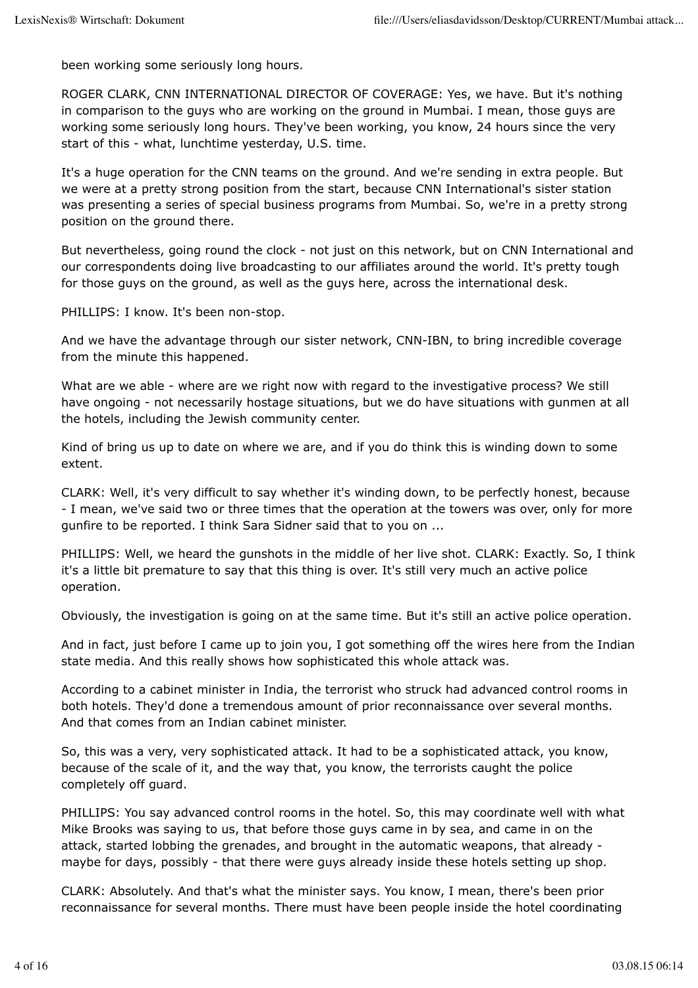been working some seriously long hours.

ROGER CLARK, CNN INTERNATIONAL DIRECTOR OF COVERAGE: Yes, we have. But it's nothing in comparison to the guys who are working on the ground in Mumbai. I mean, those guys are working some seriously long hours. They've been working, you know, 24 hours since the very start of this - what, lunchtime yesterday, U.S. time.

It's a huge operation for the CNN teams on the ground. And we're sending in extra people. But we were at a pretty strong position from the start, because CNN International's sister station was presenting a series of special business programs from Mumbai. So, we're in a pretty strong position on the ground there.

But nevertheless, going round the clock - not just on this network, but on CNN International and our correspondents doing live broadcasting to our affiliates around the world. It's pretty tough for those guys on the ground, as well as the guys here, across the international desk.

PHILLIPS: I know. It's been non-stop.

And we have the advantage through our sister network, CNN-IBN, to bring incredible coverage from the minute this happened.

What are we able - where are we right now with regard to the investigative process? We still have ongoing - not necessarily hostage situations, but we do have situations with gunmen at all the hotels, including the Jewish community center.

Kind of bring us up to date on where we are, and if you do think this is winding down to some extent.

CLARK: Well, it's very difficult to say whether it's winding down, to be perfectly honest, because - I mean, we've said two or three times that the operation at the towers was over, only for more gunfire to be reported. I think Sara Sidner said that to you on ...

PHILLIPS: Well, we heard the gunshots in the middle of her live shot. CLARK: Exactly. So, I think it's a little bit premature to say that this thing is over. It's still very much an active police operation.

Obviously, the investigation is going on at the same time. But it's still an active police operation.

And in fact, just before I came up to join you, I got something off the wires here from the Indian state media. And this really shows how sophisticated this whole attack was.

According to a cabinet minister in India, the terrorist who struck had advanced control rooms in both hotels. They'd done a tremendous amount of prior reconnaissance over several months. And that comes from an Indian cabinet minister.

So, this was a very, very sophisticated attack. It had to be a sophisticated attack, you know, because of the scale of it, and the way that, you know, the terrorists caught the police completely off guard.

PHILLIPS: You say advanced control rooms in the hotel. So, this may coordinate well with what Mike Brooks was saying to us, that before those guys came in by sea, and came in on the attack, started lobbing the grenades, and brought in the automatic weapons, that already maybe for days, possibly - that there were guys already inside these hotels setting up shop.

CLARK: Absolutely. And that's what the minister says. You know, I mean, there's been prior reconnaissance for several months. There must have been people inside the hotel coordinating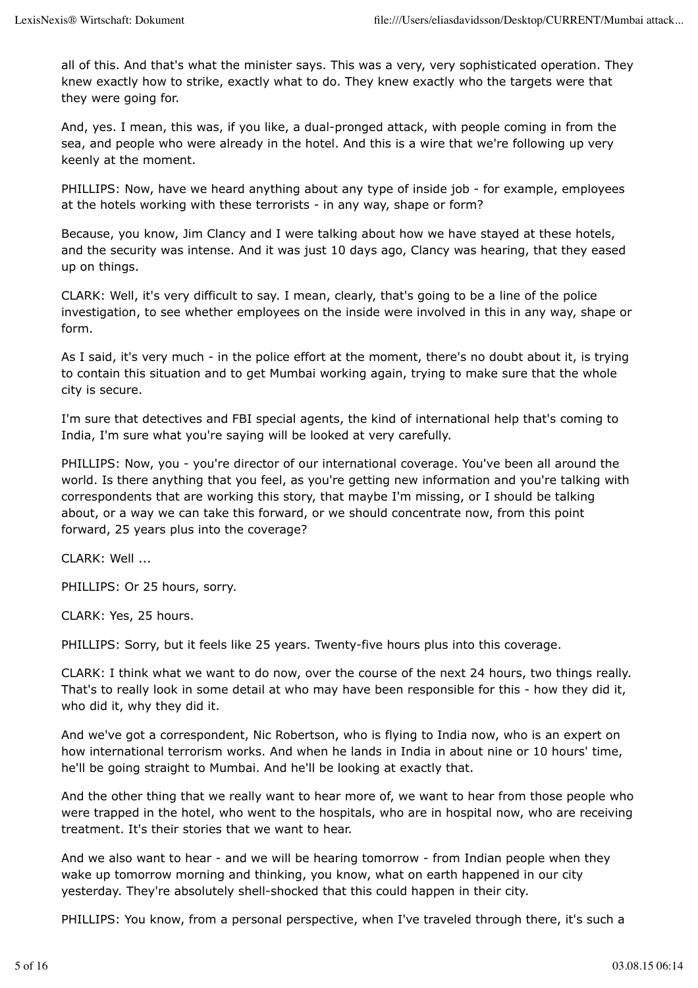all of this. And that's what the minister says. This was a very, very sophisticated operation. They knew exactly how to strike, exactly what to do. They knew exactly who the targets were that they were going for.

And, yes. I mean, this was, if you like, a dual-pronged attack, with people coming in from the sea, and people who were already in the hotel. And this is a wire that we're following up very keenly at the moment.

PHILLIPS: Now, have we heard anything about any type of inside job - for example, employees at the hotels working with these terrorists - in any way, shape or form?

Because, you know, Jim Clancy and I were talking about how we have stayed at these hotels, and the security was intense. And it was just 10 days ago, Clancy was hearing, that they eased up on things.

CLARK: Well, it's very difficult to say. I mean, clearly, that's going to be a line of the police investigation, to see whether employees on the inside were involved in this in any way, shape or form.

As I said, it's very much - in the police effort at the moment, there's no doubt about it, is trying to contain this situation and to get Mumbai working again, trying to make sure that the whole city is secure.

I'm sure that detectives and FBI special agents, the kind of international help that's coming to India, I'm sure what you're saying will be looked at very carefully.

PHILLIPS: Now, you - you're director of our international coverage. You've been all around the world. Is there anything that you feel, as you're getting new information and you're talking with correspondents that are working this story, that maybe I'm missing, or I should be talking about, or a way we can take this forward, or we should concentrate now, from this point forward, 25 years plus into the coverage?

CLARK: Well ...

PHILLIPS: Or 25 hours, sorry.

CLARK: Yes, 25 hours.

PHILLIPS: Sorry, but it feels like 25 years. Twenty-five hours plus into this coverage.

CLARK: I think what we want to do now, over the course of the next 24 hours, two things really. That's to really look in some detail at who may have been responsible for this - how they did it, who did it, why they did it.

And we've got a correspondent, Nic Robertson, who is flying to India now, who is an expert on how international terrorism works. And when he lands in India in about nine or 10 hours' time, he'll be going straight to Mumbai. And he'll be looking at exactly that.

And the other thing that we really want to hear more of, we want to hear from those people who were trapped in the hotel, who went to the hospitals, who are in hospital now, who are receiving treatment. It's their stories that we want to hear.

And we also want to hear - and we will be hearing tomorrow - from Indian people when they wake up tomorrow morning and thinking, you know, what on earth happened in our city yesterday. They're absolutely shell-shocked that this could happen in their city.

PHILLIPS: You know, from a personal perspective, when I've traveled through there, it's such a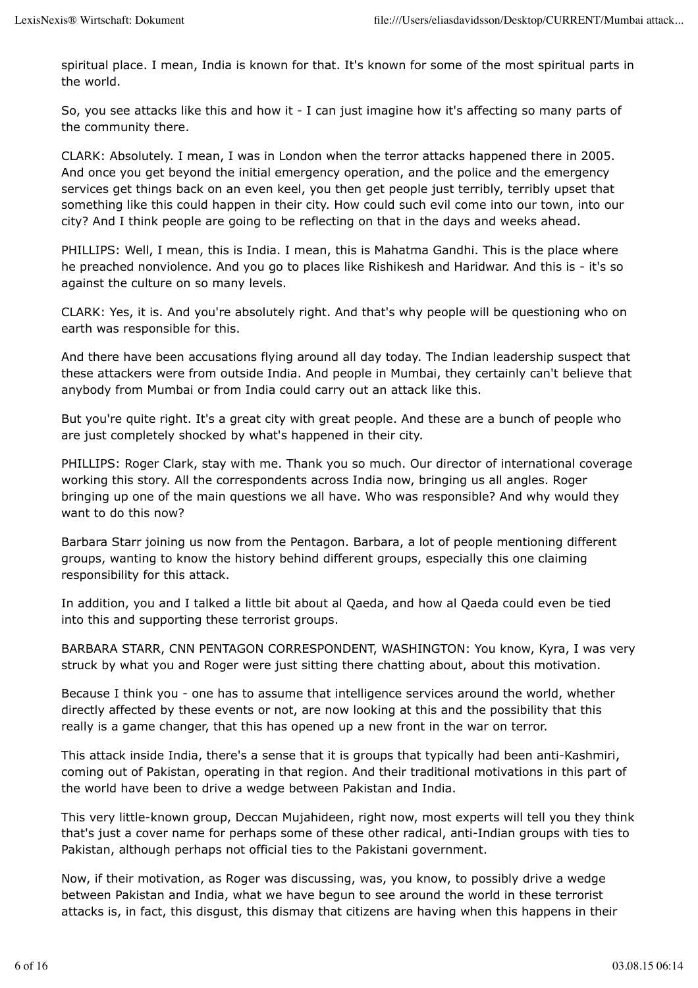spiritual place. I mean, India is known for that. It's known for some of the most spiritual parts in the world.

So, you see attacks like this and how it - I can just imagine how it's affecting so many parts of the community there.

CLARK: Absolutely. I mean, I was in London when the terror attacks happened there in 2005. And once you get beyond the initial emergency operation, and the police and the emergency services get things back on an even keel, you then get people just terribly, terribly upset that something like this could happen in their city. How could such evil come into our town, into our city? And I think people are going to be reflecting on that in the days and weeks ahead.

PHILLIPS: Well, I mean, this is India. I mean, this is Mahatma Gandhi. This is the place where he preached nonviolence. And you go to places like Rishikesh and Haridwar. And this is - it's so against the culture on so many levels.

CLARK: Yes, it is. And you're absolutely right. And that's why people will be questioning who on earth was responsible for this.

And there have been accusations flying around all day today. The Indian leadership suspect that these attackers were from outside India. And people in Mumbai, they certainly can't believe that anybody from Mumbai or from India could carry out an attack like this.

But you're quite right. It's a great city with great people. And these are a bunch of people who are just completely shocked by what's happened in their city.

PHILLIPS: Roger Clark, stay with me. Thank you so much. Our director of international coverage working this story. All the correspondents across India now, bringing us all angles. Roger bringing up one of the main questions we all have. Who was responsible? And why would they want to do this now?

Barbara Starr joining us now from the Pentagon. Barbara, a lot of people mentioning different groups, wanting to know the history behind different groups, especially this one claiming responsibility for this attack.

In addition, you and I talked a little bit about al Qaeda, and how al Qaeda could even be tied into this and supporting these terrorist groups.

BARBARA STARR, CNN PENTAGON CORRESPONDENT, WASHINGTON: You know, Kyra, I was very struck by what you and Roger were just sitting there chatting about, about this motivation.

Because I think you - one has to assume that intelligence services around the world, whether directly affected by these events or not, are now looking at this and the possibility that this really is a game changer, that this has opened up a new front in the war on terror.

This attack inside India, there's a sense that it is groups that typically had been anti-Kashmiri, coming out of Pakistan, operating in that region. And their traditional motivations in this part of the world have been to drive a wedge between Pakistan and India.

This very little-known group, Deccan Mujahideen, right now, most experts will tell you they think that's just a cover name for perhaps some of these other radical, anti-Indian groups with ties to Pakistan, although perhaps not official ties to the Pakistani government.

Now, if their motivation, as Roger was discussing, was, you know, to possibly drive a wedge between Pakistan and India, what we have begun to see around the world in these terrorist attacks is, in fact, this disgust, this dismay that citizens are having when this happens in their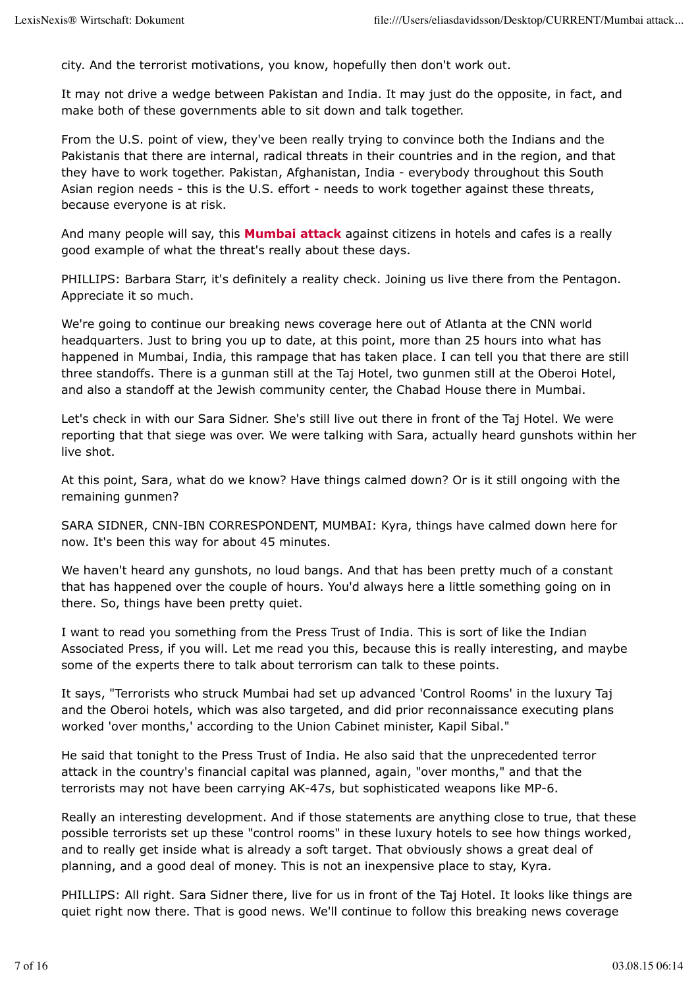city. And the terrorist motivations, you know, hopefully then don't work out.

It may not drive a wedge between Pakistan and India. It may just do the opposite, in fact, and make both of these governments able to sit down and talk together.

From the U.S. point of view, they've been really trying to convince both the Indians and the Pakistanis that there are internal, radical threats in their countries and in the region, and that they have to work together. Pakistan, Afghanistan, India - everybody throughout this South Asian region needs - this is the U.S. effort - needs to work together against these threats, because everyone is at risk.

And many people will say, this **Mumbai attack** against citizens in hotels and cafes is a really good example of what the threat's really about these days.

PHILLIPS: Barbara Starr, it's definitely a reality check. Joining us live there from the Pentagon. Appreciate it so much.

We're going to continue our breaking news coverage here out of Atlanta at the CNN world headquarters. Just to bring you up to date, at this point, more than 25 hours into what has happened in Mumbai, India, this rampage that has taken place. I can tell you that there are still three standoffs. There is a gunman still at the Taj Hotel, two gunmen still at the Oberoi Hotel, and also a standoff at the Jewish community center, the Chabad House there in Mumbai.

Let's check in with our Sara Sidner. She's still live out there in front of the Taj Hotel. We were reporting that that siege was over. We were talking with Sara, actually heard gunshots within her live shot.

At this point, Sara, what do we know? Have things calmed down? Or is it still ongoing with the remaining gunmen?

SARA SIDNER, CNN-IBN CORRESPONDENT, MUMBAI: Kyra, things have calmed down here for now. It's been this way for about 45 minutes.

We haven't heard any gunshots, no loud bangs. And that has been pretty much of a constant that has happened over the couple of hours. You'd always here a little something going on in there. So, things have been pretty quiet.

I want to read you something from the Press Trust of India. This is sort of like the Indian Associated Press, if you will. Let me read you this, because this is really interesting, and maybe some of the experts there to talk about terrorism can talk to these points.

It says, "Terrorists who struck Mumbai had set up advanced 'Control Rooms' in the luxury Taj and the Oberoi hotels, which was also targeted, and did prior reconnaissance executing plans worked 'over months,' according to the Union Cabinet minister, Kapil Sibal."

He said that tonight to the Press Trust of India. He also said that the unprecedented terror attack in the country's financial capital was planned, again, "over months," and that the terrorists may not have been carrying AK-47s, but sophisticated weapons like MP-6.

Really an interesting development. And if those statements are anything close to true, that these possible terrorists set up these "control rooms" in these luxury hotels to see how things worked, and to really get inside what is already a soft target. That obviously shows a great deal of planning, and a good deal of money. This is not an inexpensive place to stay, Kyra.

PHILLIPS: All right. Sara Sidner there, live for us in front of the Taj Hotel. It looks like things are quiet right now there. That is good news. We'll continue to follow this breaking news coverage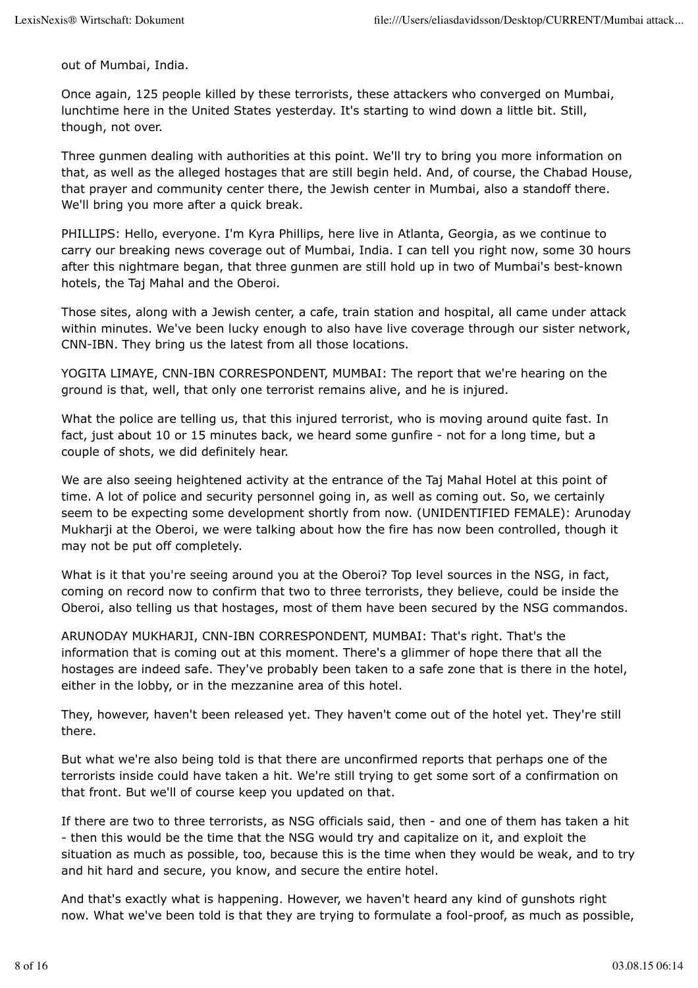out of Mumbai, India.

Once again, 125 people killed by these terrorists, these attackers who converged on Mumbai, lunchtime here in the United States yesterday. It's starting to wind down a little bit. Still, though, not over.

Three gunmen dealing with authorities at this point. We'll try to bring you more information on that, as well as the alleged hostages that are still begin held. And, of course, the Chabad House, that prayer and community center there, the Jewish center in Mumbai, also a standoff there. We'll bring you more after a quick break.

PHILLIPS: Hello, everyone. I'm Kyra Phillips, here live in Atlanta, Georgia, as we continue to carry our breaking news coverage out of Mumbai, India. I can tell you right now, some 30 hours after this nightmare began, that three gunmen are still hold up in two of Mumbai's best-known hotels, the Taj Mahal and the Oberoi.

Those sites, along with a Jewish center, a cafe, train station and hospital, all came under attack within minutes. We've been lucky enough to also have live coverage through our sister network, CNN-IBN. They bring us the latest from all those locations.

YOGITA LIMAYE, CNN-IBN CORRESPONDENT, MUMBAI: The report that we're hearing on the ground is that, well, that only one terrorist remains alive, and he is injured.

What the police are telling us, that this injured terrorist, who is moving around quite fast. In fact, just about 10 or 15 minutes back, we heard some gunfire - not for a long time, but a couple of shots, we did definitely hear.

We are also seeing heightened activity at the entrance of the Taj Mahal Hotel at this point of time. A lot of police and security personnel going in, as well as coming out. So, we certainly seem to be expecting some development shortly from now. (UNIDENTIFIED FEMALE): Arunoday Mukharji at the Oberoi, we were talking about how the fire has now been controlled, though it may not be put off completely.

What is it that you're seeing around you at the Oberoi? Top level sources in the NSG, in fact, coming on record now to confirm that two to three terrorists, they believe, could be inside the Oberoi, also telling us that hostages, most of them have been secured by the NSG commandos.

ARUNODAY MUKHARJI, CNN-IBN CORRESPONDENT, MUMBAI: That's right. That's the information that is coming out at this moment. There's a glimmer of hope there that all the hostages are indeed safe. They've probably been taken to a safe zone that is there in the hotel, either in the lobby, or in the mezzanine area of this hotel.

They, however, haven't been released yet. They haven't come out of the hotel yet. They're still there.

But what we're also being told is that there are unconfirmed reports that perhaps one of the terrorists inside could have taken a hit. We're still trying to get some sort of a confirmation on that front. But we'll of course keep you updated on that.

If there are two to three terrorists, as NSG officials said, then - and one of them has taken a hit - then this would be the time that the NSG would try and capitalize on it, and exploit the situation as much as possible, too, because this is the time when they would be weak, and to try and hit hard and secure, you know, and secure the entire hotel.

And that's exactly what is happening. However, we haven't heard any kind of gunshots right now. What we've been told is that they are trying to formulate a fool-proof, as much as possible,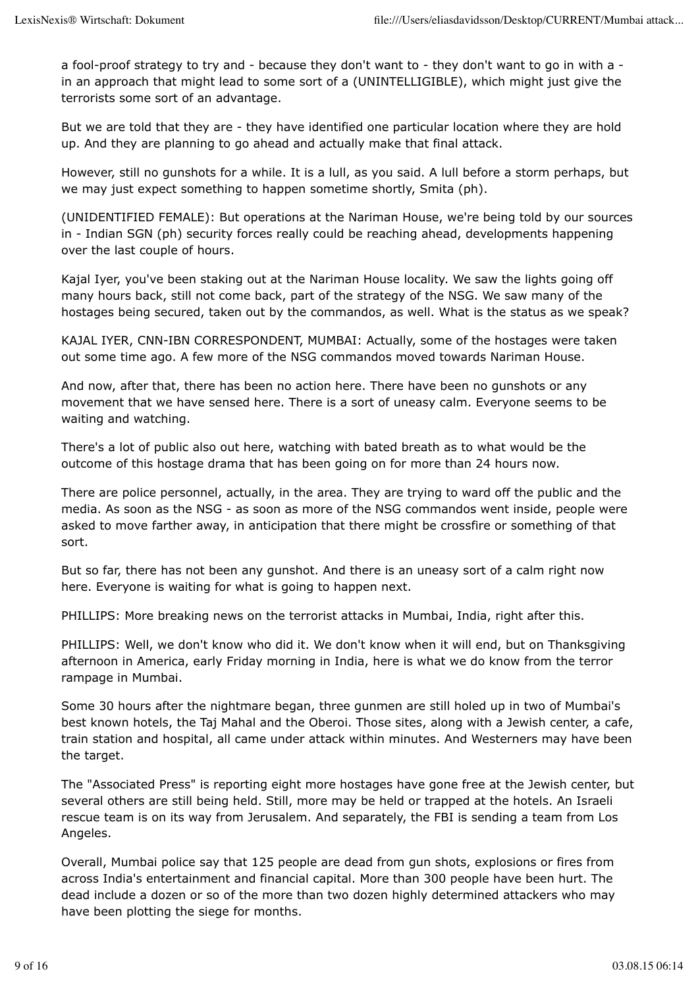a fool-proof strategy to try and - because they don't want to - they don't want to go in with a in an approach that might lead to some sort of a (UNINTELLIGIBLE), which might just give the terrorists some sort of an advantage.

But we are told that they are - they have identified one particular location where they are hold up. And they are planning to go ahead and actually make that final attack.

However, still no gunshots for a while. It is a lull, as you said. A lull before a storm perhaps, but we may just expect something to happen sometime shortly, Smita (ph).

(UNIDENTIFIED FEMALE): But operations at the Nariman House, we're being told by our sources in - Indian SGN (ph) security forces really could be reaching ahead, developments happening over the last couple of hours.

Kajal Iyer, you've been staking out at the Nariman House locality. We saw the lights going off many hours back, still not come back, part of the strategy of the NSG. We saw many of the hostages being secured, taken out by the commandos, as well. What is the status as we speak?

KAJAL IYER, CNN-IBN CORRESPONDENT, MUMBAI: Actually, some of the hostages were taken out some time ago. A few more of the NSG commandos moved towards Nariman House.

And now, after that, there has been no action here. There have been no gunshots or any movement that we have sensed here. There is a sort of uneasy calm. Everyone seems to be waiting and watching.

There's a lot of public also out here, watching with bated breath as to what would be the outcome of this hostage drama that has been going on for more than 24 hours now.

There are police personnel, actually, in the area. They are trying to ward off the public and the media. As soon as the NSG - as soon as more of the NSG commandos went inside, people were asked to move farther away, in anticipation that there might be crossfire or something of that sort.

But so far, there has not been any gunshot. And there is an uneasy sort of a calm right now here. Everyone is waiting for what is going to happen next.

PHILLIPS: More breaking news on the terrorist attacks in Mumbai, India, right after this.

PHILLIPS: Well, we don't know who did it. We don't know when it will end, but on Thanksgiving afternoon in America, early Friday morning in India, here is what we do know from the terror rampage in Mumbai.

Some 30 hours after the nightmare began, three gunmen are still holed up in two of Mumbai's best known hotels, the Taj Mahal and the Oberoi. Those sites, along with a Jewish center, a cafe, train station and hospital, all came under attack within minutes. And Westerners may have been the target.

The "Associated Press" is reporting eight more hostages have gone free at the Jewish center, but several others are still being held. Still, more may be held or trapped at the hotels. An Israeli rescue team is on its way from Jerusalem. And separately, the FBI is sending a team from Los Angeles.

Overall, Mumbai police say that 125 people are dead from gun shots, explosions or fires from across India's entertainment and financial capital. More than 300 people have been hurt. The dead include a dozen or so of the more than two dozen highly determined attackers who may have been plotting the siege for months.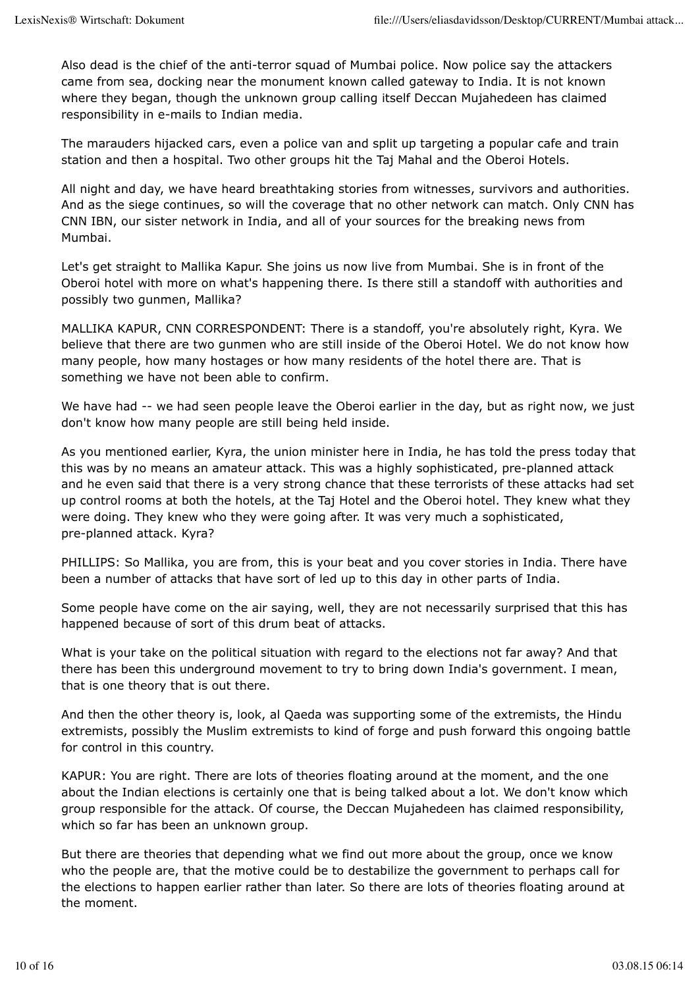Also dead is the chief of the anti-terror squad of Mumbai police. Now police say the attackers came from sea, docking near the monument known called gateway to India. It is not known where they began, though the unknown group calling itself Deccan Mujahedeen has claimed responsibility in e-mails to Indian media.

The marauders hijacked cars, even a police van and split up targeting a popular cafe and train station and then a hospital. Two other groups hit the Taj Mahal and the Oberoi Hotels.

All night and day, we have heard breathtaking stories from witnesses, survivors and authorities. And as the siege continues, so will the coverage that no other network can match. Only CNN has CNN IBN, our sister network in India, and all of your sources for the breaking news from Mumbai.

Let's get straight to Mallika Kapur. She joins us now live from Mumbai. She is in front of the Oberoi hotel with more on what's happening there. Is there still a standoff with authorities and possibly two gunmen, Mallika?

MALLIKA KAPUR, CNN CORRESPONDENT: There is a standoff, you're absolutely right, Kyra. We believe that there are two gunmen who are still inside of the Oberoi Hotel. We do not know how many people, how many hostages or how many residents of the hotel there are. That is something we have not been able to confirm.

We have had -- we had seen people leave the Oberoi earlier in the day, but as right now, we just don't know how many people are still being held inside.

As you mentioned earlier, Kyra, the union minister here in India, he has told the press today that this was by no means an amateur attack. This was a highly sophisticated, pre-planned attack and he even said that there is a very strong chance that these terrorists of these attacks had set up control rooms at both the hotels, at the Taj Hotel and the Oberoi hotel. They knew what they were doing. They knew who they were going after. It was very much a sophisticated, pre-planned attack. Kyra?

PHILLIPS: So Mallika, you are from, this is your beat and you cover stories in India. There have been a number of attacks that have sort of led up to this day in other parts of India.

Some people have come on the air saying, well, they are not necessarily surprised that this has happened because of sort of this drum beat of attacks.

What is your take on the political situation with regard to the elections not far away? And that there has been this underground movement to try to bring down India's government. I mean, that is one theory that is out there.

And then the other theory is, look, al Qaeda was supporting some of the extremists, the Hindu extremists, possibly the Muslim extremists to kind of forge and push forward this ongoing battle for control in this country.

KAPUR: You are right. There are lots of theories floating around at the moment, and the one about the Indian elections is certainly one that is being talked about a lot. We don't know which group responsible for the attack. Of course, the Deccan Mujahedeen has claimed responsibility, which so far has been an unknown group.

But there are theories that depending what we find out more about the group, once we know who the people are, that the motive could be to destabilize the government to perhaps call for the elections to happen earlier rather than later. So there are lots of theories floating around at the moment.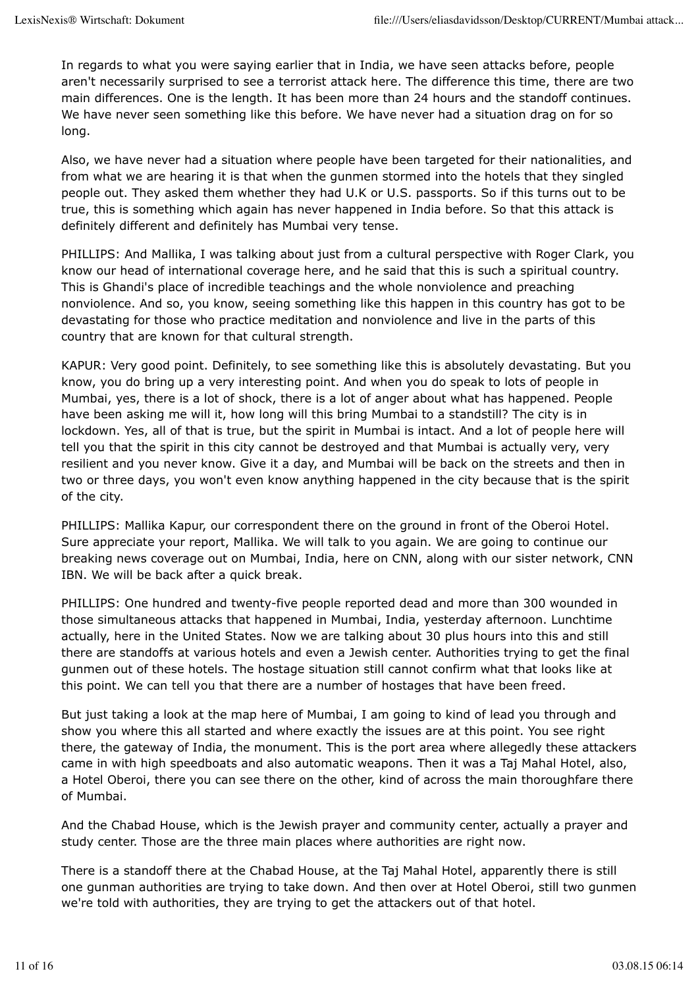In regards to what you were saying earlier that in India, we have seen attacks before, people aren't necessarily surprised to see a terrorist attack here. The difference this time, there are two main differences. One is the length. It has been more than 24 hours and the standoff continues. We have never seen something like this before. We have never had a situation drag on for so long.

Also, we have never had a situation where people have been targeted for their nationalities, and from what we are hearing it is that when the gunmen stormed into the hotels that they singled people out. They asked them whether they had U.K or U.S. passports. So if this turns out to be true, this is something which again has never happened in India before. So that this attack is definitely different and definitely has Mumbai very tense.

PHILLIPS: And Mallika, I was talking about just from a cultural perspective with Roger Clark, you know our head of international coverage here, and he said that this is such a spiritual country. This is Ghandi's place of incredible teachings and the whole nonviolence and preaching nonviolence. And so, you know, seeing something like this happen in this country has got to be devastating for those who practice meditation and nonviolence and live in the parts of this country that are known for that cultural strength.

KAPUR: Very good point. Definitely, to see something like this is absolutely devastating. But you know, you do bring up a very interesting point. And when you do speak to lots of people in Mumbai, yes, there is a lot of shock, there is a lot of anger about what has happened. People have been asking me will it, how long will this bring Mumbai to a standstill? The city is in lockdown. Yes, all of that is true, but the spirit in Mumbai is intact. And a lot of people here will tell you that the spirit in this city cannot be destroyed and that Mumbai is actually very, very resilient and you never know. Give it a day, and Mumbai will be back on the streets and then in two or three days, you won't even know anything happened in the city because that is the spirit of the city.

PHILLIPS: Mallika Kapur, our correspondent there on the ground in front of the Oberoi Hotel. Sure appreciate your report, Mallika. We will talk to you again. We are going to continue our breaking news coverage out on Mumbai, India, here on CNN, along with our sister network, CNN IBN. We will be back after a quick break.

PHILLIPS: One hundred and twenty-five people reported dead and more than 300 wounded in those simultaneous attacks that happened in Mumbai, India, yesterday afternoon. Lunchtime actually, here in the United States. Now we are talking about 30 plus hours into this and still there are standoffs at various hotels and even a Jewish center. Authorities trying to get the final gunmen out of these hotels. The hostage situation still cannot confirm what that looks like at this point. We can tell you that there are a number of hostages that have been freed.

But just taking a look at the map here of Mumbai, I am going to kind of lead you through and show you where this all started and where exactly the issues are at this point. You see right there, the gateway of India, the monument. This is the port area where allegedly these attackers came in with high speedboats and also automatic weapons. Then it was a Taj Mahal Hotel, also, a Hotel Oberoi, there you can see there on the other, kind of across the main thoroughfare there of Mumbai.

And the Chabad House, which is the Jewish prayer and community center, actually a prayer and study center. Those are the three main places where authorities are right now.

There is a standoff there at the Chabad House, at the Taj Mahal Hotel, apparently there is still one gunman authorities are trying to take down. And then over at Hotel Oberoi, still two gunmen we're told with authorities, they are trying to get the attackers out of that hotel.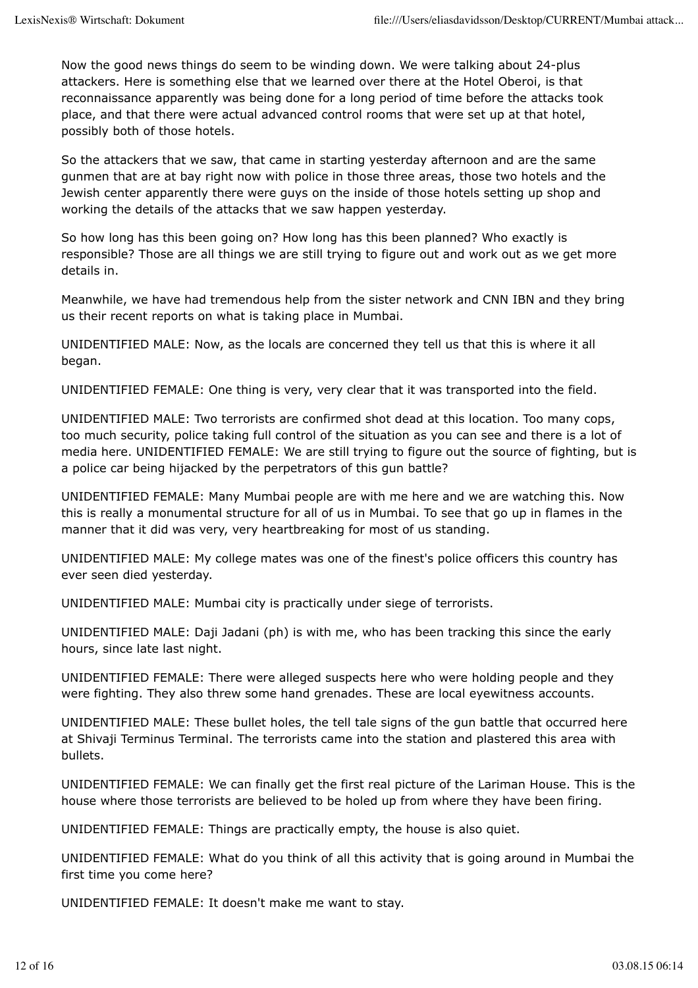Now the good news things do seem to be winding down. We were talking about 24-plus attackers. Here is something else that we learned over there at the Hotel Oberoi, is that reconnaissance apparently was being done for a long period of time before the attacks took place, and that there were actual advanced control rooms that were set up at that hotel, possibly both of those hotels.

So the attackers that we saw, that came in starting yesterday afternoon and are the same gunmen that are at bay right now with police in those three areas, those two hotels and the Jewish center apparently there were guys on the inside of those hotels setting up shop and working the details of the attacks that we saw happen yesterday.

So how long has this been going on? How long has this been planned? Who exactly is responsible? Those are all things we are still trying to figure out and work out as we get more details in.

Meanwhile, we have had tremendous help from the sister network and CNN IBN and they bring us their recent reports on what is taking place in Mumbai.

UNIDENTIFIED MALE: Now, as the locals are concerned they tell us that this is where it all began.

UNIDENTIFIED FEMALE: One thing is very, very clear that it was transported into the field.

UNIDENTIFIED MALE: Two terrorists are confirmed shot dead at this location. Too many cops, too much security, police taking full control of the situation as you can see and there is a lot of media here. UNIDENTIFIED FEMALE: We are still trying to figure out the source of fighting, but is a police car being hijacked by the perpetrators of this gun battle?

UNIDENTIFIED FEMALE: Many Mumbai people are with me here and we are watching this. Now this is really a monumental structure for all of us in Mumbai. To see that go up in flames in the manner that it did was very, very heartbreaking for most of us standing.

UNIDENTIFIED MALE: My college mates was one of the finest's police officers this country has ever seen died yesterday.

UNIDENTIFIED MALE: Mumbai city is practically under siege of terrorists.

UNIDENTIFIED MALE: Daji Jadani (ph) is with me, who has been tracking this since the early hours, since late last night.

UNIDENTIFIED FEMALE: There were alleged suspects here who were holding people and they were fighting. They also threw some hand grenades. These are local eyewitness accounts.

UNIDENTIFIED MALE: These bullet holes, the tell tale signs of the gun battle that occurred here at Shivaji Terminus Terminal. The terrorists came into the station and plastered this area with bullets.

UNIDENTIFIED FEMALE: We can finally get the first real picture of the Lariman House. This is the house where those terrorists are believed to be holed up from where they have been firing.

UNIDENTIFIED FEMALE: Things are practically empty, the house is also quiet.

UNIDENTIFIED FEMALE: What do you think of all this activity that is going around in Mumbai the first time you come here?

UNIDENTIFIED FEMALE: It doesn't make me want to stay.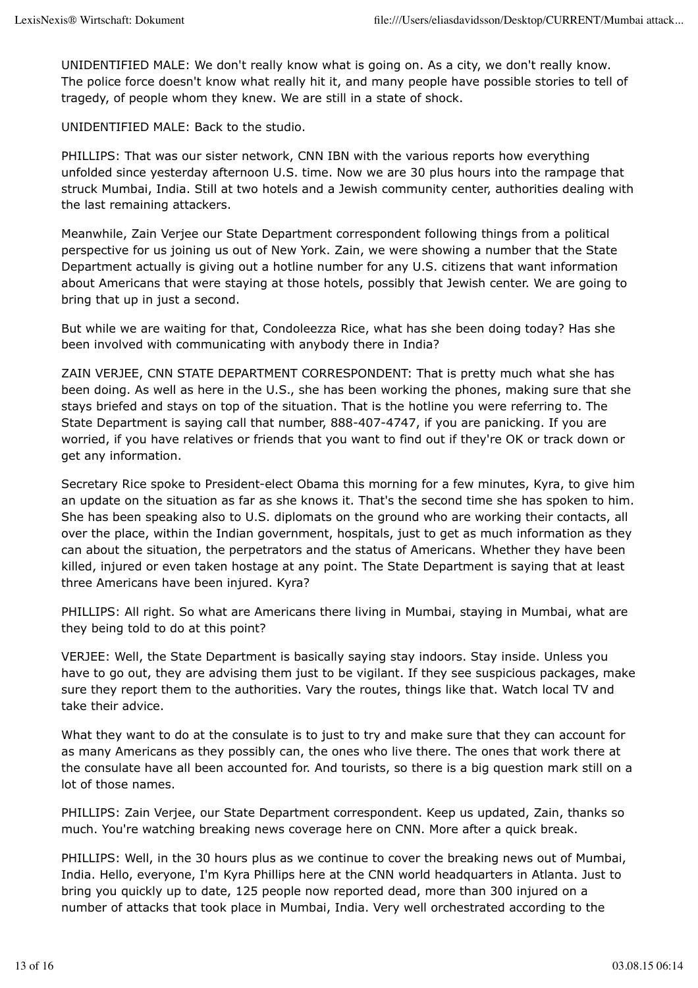UNIDENTIFIED MALE: We don't really know what is going on. As a city, we don't really know. The police force doesn't know what really hit it, and many people have possible stories to tell of tragedy, of people whom they knew. We are still in a state of shock.

UNIDENTIFIED MALE: Back to the studio.

PHILLIPS: That was our sister network, CNN IBN with the various reports how everything unfolded since yesterday afternoon U.S. time. Now we are 30 plus hours into the rampage that struck Mumbai, India. Still at two hotels and a Jewish community center, authorities dealing with the last remaining attackers.

Meanwhile, Zain Verjee our State Department correspondent following things from a political perspective for us joining us out of New York. Zain, we were showing a number that the State Department actually is giving out a hotline number for any U.S. citizens that want information about Americans that were staying at those hotels, possibly that Jewish center. We are going to bring that up in just a second.

But while we are waiting for that, Condoleezza Rice, what has she been doing today? Has she been involved with communicating with anybody there in India?

ZAIN VERJEE, CNN STATE DEPARTMENT CORRESPONDENT: That is pretty much what she has been doing. As well as here in the U.S., she has been working the phones, making sure that she stays briefed and stays on top of the situation. That is the hotline you were referring to. The State Department is saying call that number, 888-407-4747, if you are panicking. If you are worried, if you have relatives or friends that you want to find out if they're OK or track down or get any information.

Secretary Rice spoke to President-elect Obama this morning for a few minutes, Kyra, to give him an update on the situation as far as she knows it. That's the second time she has spoken to him. She has been speaking also to U.S. diplomats on the ground who are working their contacts, all over the place, within the Indian government, hospitals, just to get as much information as they can about the situation, the perpetrators and the status of Americans. Whether they have been killed, injured or even taken hostage at any point. The State Department is saying that at least three Americans have been injured. Kyra?

PHILLIPS: All right. So what are Americans there living in Mumbai, staying in Mumbai, what are they being told to do at this point?

VERJEE: Well, the State Department is basically saying stay indoors. Stay inside. Unless you have to go out, they are advising them just to be vigilant. If they see suspicious packages, make sure they report them to the authorities. Vary the routes, things like that. Watch local TV and take their advice.

What they want to do at the consulate is to just to try and make sure that they can account for as many Americans as they possibly can, the ones who live there. The ones that work there at the consulate have all been accounted for. And tourists, so there is a big question mark still on a lot of those names.

PHILLIPS: Zain Verjee, our State Department correspondent. Keep us updated, Zain, thanks so much. You're watching breaking news coverage here on CNN. More after a quick break.

PHILLIPS: Well, in the 30 hours plus as we continue to cover the breaking news out of Mumbai, India. Hello, everyone, I'm Kyra Phillips here at the CNN world headquarters in Atlanta. Just to bring you quickly up to date, 125 people now reported dead, more than 300 injured on a number of attacks that took place in Mumbai, India. Very well orchestrated according to the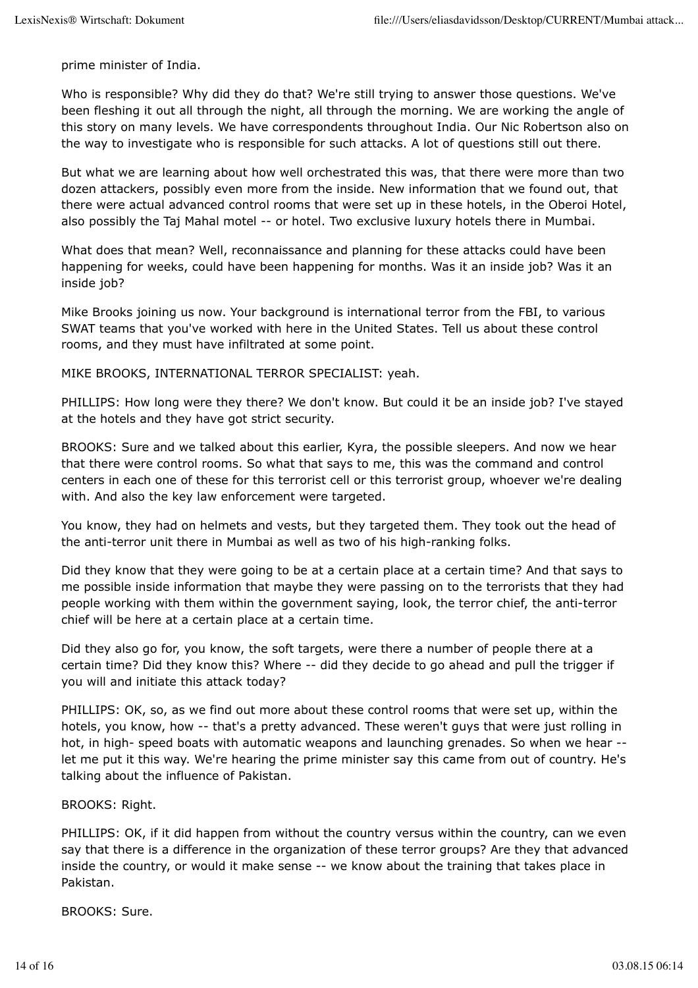prime minister of India.

Who is responsible? Why did they do that? We're still trying to answer those questions. We've been fleshing it out all through the night, all through the morning. We are working the angle of this story on many levels. We have correspondents throughout India. Our Nic Robertson also on the way to investigate who is responsible for such attacks. A lot of questions still out there.

But what we are learning about how well orchestrated this was, that there were more than two dozen attackers, possibly even more from the inside. New information that we found out, that there were actual advanced control rooms that were set up in these hotels, in the Oberoi Hotel, also possibly the Taj Mahal motel -- or hotel. Two exclusive luxury hotels there in Mumbai.

What does that mean? Well, reconnaissance and planning for these attacks could have been happening for weeks, could have been happening for months. Was it an inside job? Was it an inside job?

Mike Brooks joining us now. Your background is international terror from the FBI, to various SWAT teams that you've worked with here in the United States. Tell us about these control rooms, and they must have infiltrated at some point.

MIKE BROOKS, INTERNATIONAL TERROR SPECIALIST: yeah.

PHILLIPS: How long were they there? We don't know. But could it be an inside job? I've stayed at the hotels and they have got strict security.

BROOKS: Sure and we talked about this earlier, Kyra, the possible sleepers. And now we hear that there were control rooms. So what that says to me, this was the command and control centers in each one of these for this terrorist cell or this terrorist group, whoever we're dealing with. And also the key law enforcement were targeted.

You know, they had on helmets and vests, but they targeted them. They took out the head of the anti-terror unit there in Mumbai as well as two of his high-ranking folks.

Did they know that they were going to be at a certain place at a certain time? And that says to me possible inside information that maybe they were passing on to the terrorists that they had people working with them within the government saying, look, the terror chief, the anti-terror chief will be here at a certain place at a certain time.

Did they also go for, you know, the soft targets, were there a number of people there at a certain time? Did they know this? Where -- did they decide to go ahead and pull the trigger if you will and initiate this attack today?

PHILLIPS: OK, so, as we find out more about these control rooms that were set up, within the hotels, you know, how -- that's a pretty advanced. These weren't guys that were just rolling in hot, in high- speed boats with automatic weapons and launching grenades. So when we hear - let me put it this way. We're hearing the prime minister say this came from out of country. He's talking about the influence of Pakistan.

BROOKS: Right.

PHILLIPS: OK, if it did happen from without the country versus within the country, can we even say that there is a difference in the organization of these terror groups? Are they that advanced inside the country, or would it make sense -- we know about the training that takes place in Pakistan.

BROOKS: Sure.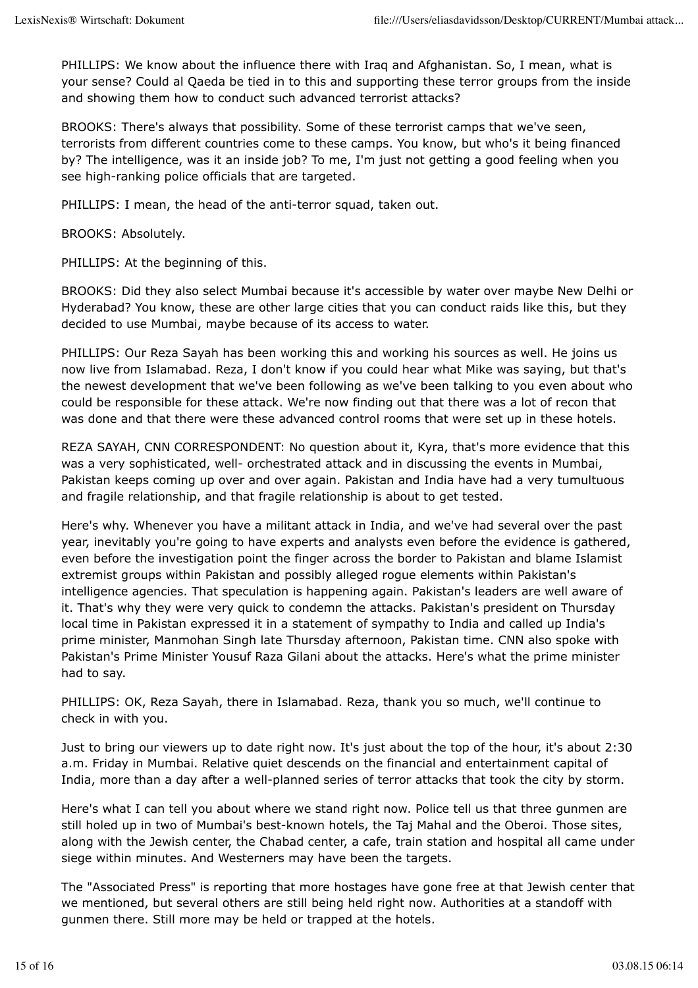PHILLIPS: We know about the influence there with Iraq and Afghanistan. So, I mean, what is your sense? Could al Qaeda be tied in to this and supporting these terror groups from the inside and showing them how to conduct such advanced terrorist attacks?

BROOKS: There's always that possibility. Some of these terrorist camps that we've seen, terrorists from different countries come to these camps. You know, but who's it being financed by? The intelligence, was it an inside job? To me, I'm just not getting a good feeling when you see high-ranking police officials that are targeted.

PHILLIPS: I mean, the head of the anti-terror squad, taken out.

BROOKS: Absolutely.

PHILLIPS: At the beginning of this.

BROOKS: Did they also select Mumbai because it's accessible by water over maybe New Delhi or Hyderabad? You know, these are other large cities that you can conduct raids like this, but they decided to use Mumbai, maybe because of its access to water.

PHILLIPS: Our Reza Sayah has been working this and working his sources as well. He joins us now live from Islamabad. Reza, I don't know if you could hear what Mike was saying, but that's the newest development that we've been following as we've been talking to you even about who could be responsible for these attack. We're now finding out that there was a lot of recon that was done and that there were these advanced control rooms that were set up in these hotels.

REZA SAYAH, CNN CORRESPONDENT: No question about it, Kyra, that's more evidence that this was a very sophisticated, well- orchestrated attack and in discussing the events in Mumbai, Pakistan keeps coming up over and over again. Pakistan and India have had a very tumultuous and fragile relationship, and that fragile relationship is about to get tested.

Here's why. Whenever you have a militant attack in India, and we've had several over the past year, inevitably you're going to have experts and analysts even before the evidence is gathered, even before the investigation point the finger across the border to Pakistan and blame Islamist extremist groups within Pakistan and possibly alleged rogue elements within Pakistan's intelligence agencies. That speculation is happening again. Pakistan's leaders are well aware of it. That's why they were very quick to condemn the attacks. Pakistan's president on Thursday local time in Pakistan expressed it in a statement of sympathy to India and called up India's prime minister, Manmohan Singh late Thursday afternoon, Pakistan time. CNN also spoke with Pakistan's Prime Minister Yousuf Raza Gilani about the attacks. Here's what the prime minister had to say.

PHILLIPS: OK, Reza Sayah, there in Islamabad. Reza, thank you so much, we'll continue to check in with you.

Just to bring our viewers up to date right now. It's just about the top of the hour, it's about 2:30 a.m. Friday in Mumbai. Relative quiet descends on the financial and entertainment capital of India, more than a day after a well-planned series of terror attacks that took the city by storm.

Here's what I can tell you about where we stand right now. Police tell us that three gunmen are still holed up in two of Mumbai's best-known hotels, the Taj Mahal and the Oberoi. Those sites, along with the Jewish center, the Chabad center, a cafe, train station and hospital all came under siege within minutes. And Westerners may have been the targets.

The "Associated Press" is reporting that more hostages have gone free at that Jewish center that we mentioned, but several others are still being held right now. Authorities at a standoff with gunmen there. Still more may be held or trapped at the hotels.